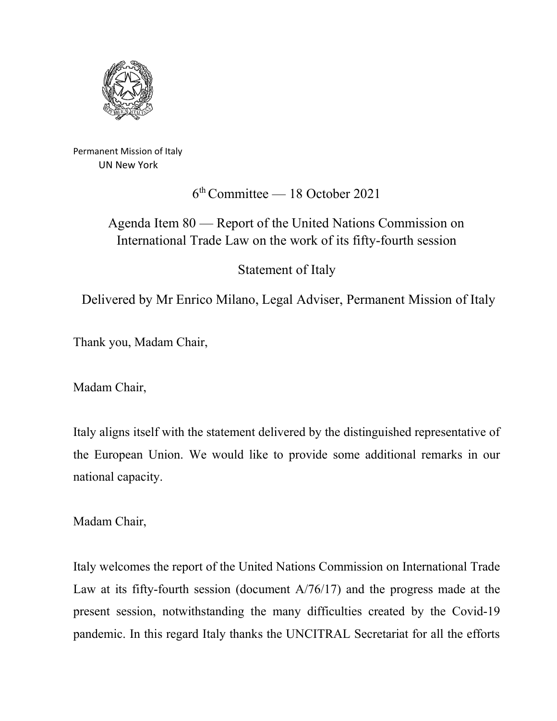

Permanent Mission of Italy UN New York

6th Committee — 18 October 2021

## Agenda Item 80 — Report of the United Nations Commission on International Trade Law on the work of its fifty-fourth session

Statement of Italy

Delivered by Mr Enrico Milano, Legal Adviser, Permanent Mission of Italy

Thank you, Madam Chair,

Madam Chair,

Italy aligns itself with the statement delivered by the distinguished representative of the European Union. We would like to provide some additional remarks in our national capacity.

Madam Chair,

Italy welcomes the report of the United Nations Commission on International Trade Law at its fifty-fourth session (document A/76/17) and the progress made at the present session, notwithstanding the many difficulties created by the Covid-19 pandemic. In this regard Italy thanks the UNCITRAL Secretariat for all the efforts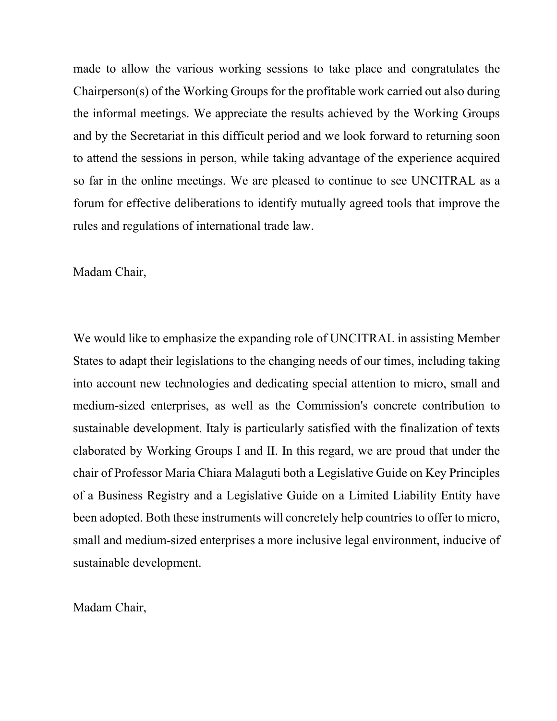made to allow the various working sessions to take place and congratulates the Chairperson(s) of the Working Groups for the profitable work carried out also during the informal meetings. We appreciate the results achieved by the Working Groups and by the Secretariat in this difficult period and we look forward to returning soon to attend the sessions in person, while taking advantage of the experience acquired so far in the online meetings. We are pleased to continue to see UNCITRAL as a forum for effective deliberations to identify mutually agreed tools that improve the rules and regulations of international trade law.

Madam Chair,

We would like to emphasize the expanding role of UNCITRAL in assisting Member States to adapt their legislations to the changing needs of our times, including taking into account new technologies and dedicating special attention to micro, small and medium-sized enterprises, as well as the Commission's concrete contribution to sustainable development. Italy is particularly satisfied with the finalization of texts elaborated by Working Groups I and II. In this regard, we are proud that under the chair of Professor Maria Chiara Malaguti both a Legislative Guide on Key Principles of a Business Registry and a Legislative Guide on a Limited Liability Entity have been adopted. Both these instruments will concretely help countries to offer to micro, small and medium-sized enterprises a more inclusive legal environment, inducive of sustainable development.

Madam Chair,